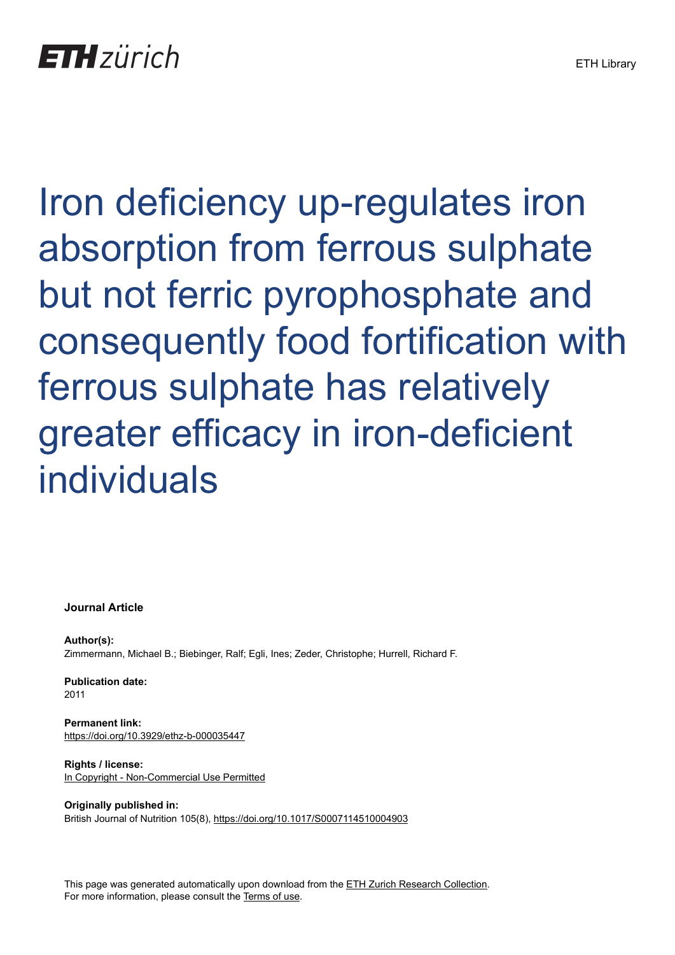Iron deficiency up-regulates iron absorption from ferrous sulphate but not ferric pyrophosphate and consequently food fortification with ferrous sulphate has relatively greater efficacy in iron-deficient individuals

## **Journal Article**

**Author(s):** Zimmermann, Michael B.; Biebinger, Ralf; Egli, Ines; Zeder, Christophe; Hurrell, Richard F.

**Publication date:** 2011

**Permanent link:** <https://doi.org/10.3929/ethz-b-000035447>

**Rights / license:** [In Copyright - Non-Commercial Use Permitted](http://rightsstatements.org/page/InC-NC/1.0/)

**Originally published in:** British Journal of Nutrition 105(8), <https://doi.org/10.1017/S0007114510004903>

This page was generated automatically upon download from the [ETH Zurich Research Collection.](https://www.research-collection.ethz.ch) For more information, please consult the [Terms of use](https://www.research-collection.ethz.ch/terms-of-use).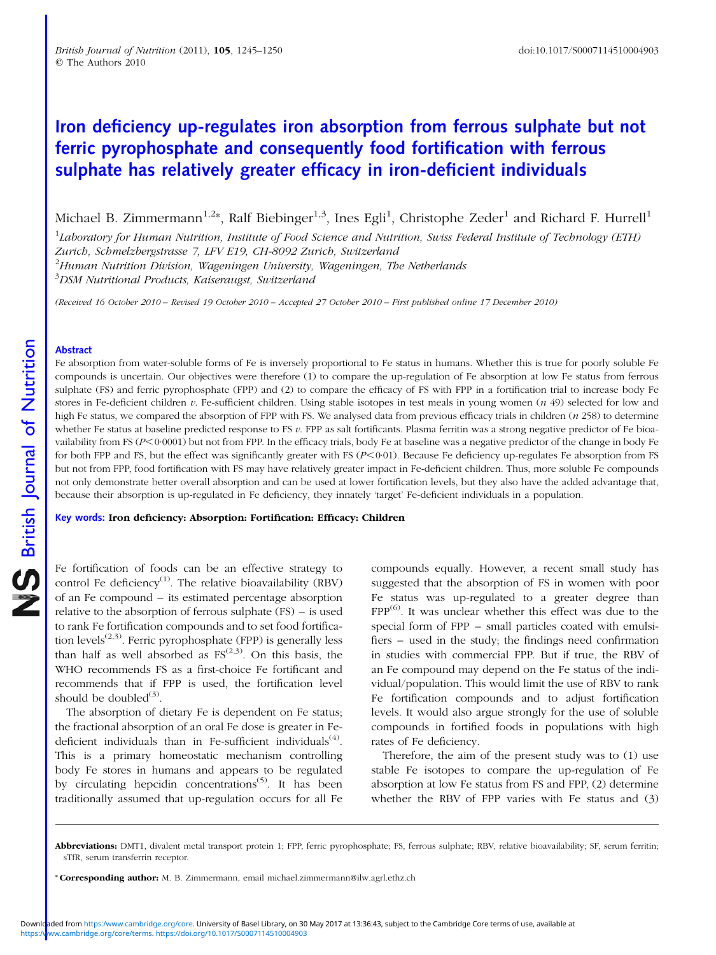# Iron deficiency up-regulates iron absorption from ferrous sulphate but not ferric pyrophosphate and consequently food fortification with ferrous sulphate has relatively greater efficacy in iron-deficient individuals

Michael B. Zimmermann $^{1,2}$ \*, Ralf Biebinger $^{1,3}$ , Ines Egli $^1$ , Christophe Zeder $^1$  and Richard F. Hurrell $^1$ 

 $^1$ Laboratory for Human Nutrition, Institute of Food Science and Nutrition, Swiss Federal Institute of Technology (ETH) Zurich, Schmelzbergstrasse 7, LFV E19, CH-8092 Zurich, Switzerland

 $^{2}$ Human Nutrition Division, Wageningen University, Wageningen, The Netherlands

 $^3$ DSM Nutritional Products, Kaiseraugst, Switzerland

(Received 16 October 2010 – Revised 19 October 2010 – Accepted 27 October 2010 – First published online 17 December 2010)

#### Abstract

Fe absorption from water-soluble forms of Fe is inversely proportional to Fe status in humans. Whether this is true for poorly soluble Fe compounds is uncertain. Our objectives were therefore (1) to compare the up-regulation of Fe absorption at low Fe status from ferrous sulphate (FS) and ferric pyrophosphate (FPP) and (2) to compare the efficacy of FS with FPP in a fortification trial to increase body Fe stores in Fe-deficient children  $v$ . Fe-sufficient children. Using stable isotopes in test meals in young women  $(n\ 49)$  selected for low and high Fe status, we compared the absorption of FPP with FS. We analysed data from previous efficacy trials in children (n 258) to determine whether Fe status at baseline predicted response to FS v. FPP as salt fortificants. Plasma ferritin was a strong negative predictor of Fe bioavailability from FS ( $P \le 0.0001$ ) but not from FPP. In the efficacy trials, body Fe at baseline was a negative predictor of the change in body Fe for both FPP and FS, but the effect was significantly greater with FS ( $P < 0.01$ ). Because Fe deficiency up-regulates Fe absorption from FS but not from FPP, food fortification with FS may have relatively greater impact in Fe-deficient children. Thus, more soluble Fe compounds not only demonstrate better overall absorption and can be used at lower fortification levels, but they also have the added advantage that, because their absorption is up-regulated in Fe deficiency, they innately 'target' Fe-deficient individuals in a population.

Key words: Iron deficiency: Absorption: Fortification: Efficacy: Children

Fe fortification of foods can be an effective strategy to control Fe deficiency<sup>(1)</sup>. The relative bioavailability (RBV) of an Fe compound – its estimated percentage absorption relative to the absorption of ferrous sulphate (FS) – is used to rank Fe fortification compounds and to set food fortification levels<sup> $(2,3)$ </sup>. Ferric pyrophosphate (FPP) is generally less than half as well absorbed as  $FS^{(2,3)}$ . On this basis, the WHO recommends FS as a first-choice Fe fortificant and recommends that if FPP is used, the fortification level should be doubled $(3)$ .

The absorption of dietary Fe is dependent on Fe status; the fractional absorption of an oral Fe dose is greater in Fedeficient individuals than in Fe-sufficient individuals<sup> $(4)$ </sup>. This is a primary homeostatic mechanism controlling body Fe stores in humans and appears to be regulated by circulating hepcidin concentrations<sup> $(5)$ </sup>. It has been traditionally assumed that up-regulation occurs for all Fe

compounds equally. However, a recent small study has suggested that the absorption of FS in women with poor Fe status was up-regulated to a greater degree than  $FPP^{(6)}$ . It was unclear whether this effect was due to the special form of FPP – small particles coated with emulsifiers – used in the study; the findings need confirmation in studies with commercial FPP. But if true, the RBV of an Fe compound may depend on the Fe status of the individual/population. This would limit the use of RBV to rank Fe fortification compounds and to adjust fortification levels. It would also argue strongly for the use of soluble compounds in fortified foods in populations with high rates of Fe deficiency.

Therefore, the aim of the present study was to (1) use stable Fe isotopes to compare the up-regulation of Fe absorption at low Fe status from FS and FPP, (2) determine whether the RBV of FPP varies with Fe status and (3)

Abbreviations: DMT1, divalent metal transport protein 1; FPP, ferric pyrophosphate; FS, ferrous sulphate; RBV, relative bioavailability; SF, serum ferritin; sTfR, serum transferrin receptor.

<sup>\*</sup> Corresponding author: M. B. Zimmermann, email michael.zimmermann@ilw.agrl.ethz.ch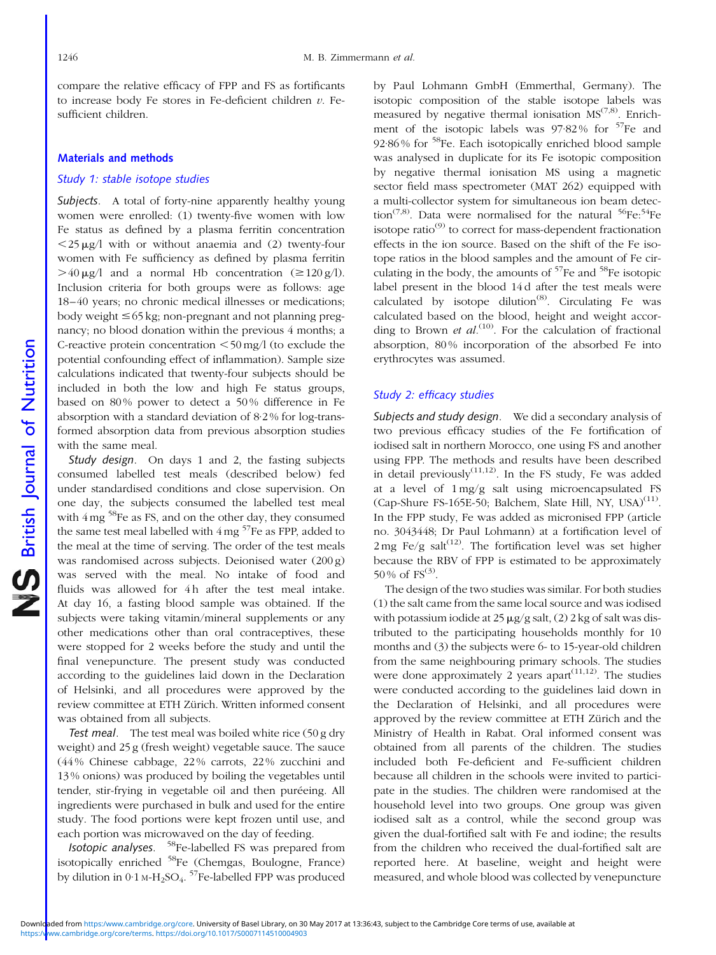compare the relative efficacy of FPP and FS as fortificants to increase body Fe stores in Fe-deficient children  $v$ . Fesufficient children.

## Materials and methods

### Study 1: stable isotope studies

Subjects. A total of forty-nine apparently healthy young women were enrolled: (1) twenty-five women with low Fe status as defined by a plasma ferritin concentration  $\langle 25 \mu g / l$  with or without anaemia and (2) twenty-four women with Fe sufficiency as defined by plasma ferritin  $>40 \mu$ g/l and a normal Hb concentration ( $\geq 120$  g/l). Inclusion criteria for both groups were as follows: age 18–40 years; no chronic medical illnesses or medications; body weight  $\leq 65$  kg; non-pregnant and not planning pregnancy; no blood donation within the previous 4 months; a C-reactive protein concentration  $\leq 50$  mg/l (to exclude the potential confounding effect of inflammation). Sample size calculations indicated that twenty-four subjects should be included in both the low and high Fe status groups, based on 80% power to detect a 50% difference in Fe absorption with a standard deviation of 8·2 % for log-transformed absorption data from previous absorption studies with the same meal.

Study design. On days 1 and 2, the fasting subjects consumed labelled test meals (described below) fed under standardised conditions and close supervision. On one day, the subjects consumed the labelled test meal with  $4 \text{ mg}$ <sup>58</sup>Fe as FS, and on the other day, they consumed the same test meal labelled with  $4 \text{ mg}$ <sup>57</sup>Fe as FPP, added to the meal at the time of serving. The order of the test meals was randomised across subjects. Deionised water (200 g) was served with the meal. No intake of food and fluids was allowed for 4h after the test meal intake. At day 16, a fasting blood sample was obtained. If the subjects were taking vitamin/mineral supplements or any other medications other than oral contraceptives, these were stopped for 2 weeks before the study and until the final venepuncture. The present study was conducted according to the guidelines laid down in the Declaration of Helsinki, and all procedures were approved by the review committee at ETH Zürich. Written informed consent was obtained from all subjects.

Test meal. The test meal was boiled white rice (50 g dry weight) and 25 g (fresh weight) vegetable sauce. The sauce (44 % Chinese cabbage, 22 % carrots, 22 % zucchini and 13 % onions) was produced by boiling the vegetables until tender, stir-frying in vegetable oil and then puréeing. All ingredients were purchased in bulk and used for the entire study. The food portions were kept frozen until use, and each portion was microwaved on the day of feeding.

Isotopic analyses. 58Fe-labelled FS was prepared from isotopically enriched <sup>58</sup>Fe (Chemgas, Boulogne, France) by dilution in  $0.1 \text{ M-H}_2\text{SO}_4$ . <sup>57</sup>Fe-labelled FPP was produced

by Paul Lohmann GmbH (Emmerthal, Germany). The isotopic composition of the stable isotope labels was measured by negative thermal ionisation  $MS^{(7,8)}$ . Enrichment of the isotopic labels was  $97.82\%$  for  $57Fe$  and 92·86 % for 58Fe. Each isotopically enriched blood sample was analysed in duplicate for its Fe isotopic composition by negative thermal ionisation MS using a magnetic sector field mass spectrometer (MAT 262) equipped with a multi-collector system for simultaneous ion beam detection<sup>(7,8)</sup>. Data were normalised for the natural  $56Fe:54Fe$ isotope ratio $^{(9)}$  to correct for mass-dependent fractionation effects in the ion source. Based on the shift of the Fe isotope ratios in the blood samples and the amount of Fe circulating in the body, the amounts of  $57$ Fe and  $58$ Fe isotopic label present in the blood 14 d after the test meals were calculated by isotope dilution<sup> $(8)$ </sup>. Circulating Fe was calculated based on the blood, height and weight according to Brown et  $al$ .<sup>(10)</sup>. For the calculation of fractional absorption, 80 % incorporation of the absorbed Fe into erythrocytes was assumed.

## Study 2: efficacy studies

Subjects and study design. We did a secondary analysis of two previous efficacy studies of the Fe fortification of iodised salt in northern Morocco, one using FS and another using FPP. The methods and results have been described in detail previously<sup> $(11,12)$ </sup>. In the FS study, Fe was added at a level of 1 mg/g salt using microencapsulated FS (Cap-Shure FS-165E-50; Balchem, Slate Hill, NY, USA)<sup>(11)</sup>. In the FPP study, Fe was added as micronised FPP (article no. 3043448; Dr Paul Lohmann) at a fortification level of 2 mg Fe/g salt<sup>(12)</sup>. The fortification level was set higher because the RBV of FPP is estimated to be approximately 50 % of  $FS^{(3)}$ .

The design of the two studies was similar. For both studies (1) the salt came from the same local source and was iodised with potassium iodide at  $25 \mu g/g$  salt, (2) 2 kg of salt was distributed to the participating households monthly for 10 months and (3) the subjects were 6- to 15-year-old children from the same neighbouring primary schools. The studies were done approximately 2 years apart<sup>(11,12)</sup>. The studies were conducted according to the guidelines laid down in the Declaration of Helsinki, and all procedures were approved by the review committee at ETH Zürich and the Ministry of Health in Rabat. Oral informed consent was obtained from all parents of the children. The studies included both Fe-deficient and Fe-sufficient children because all children in the schools were invited to participate in the studies. The children were randomised at the household level into two groups. One group was given iodised salt as a control, while the second group was given the dual-fortified salt with Fe and iodine; the results from the children who received the dual-fortified salt are reported here. At baseline, weight and height were measured, and whole blood was collected by venepuncture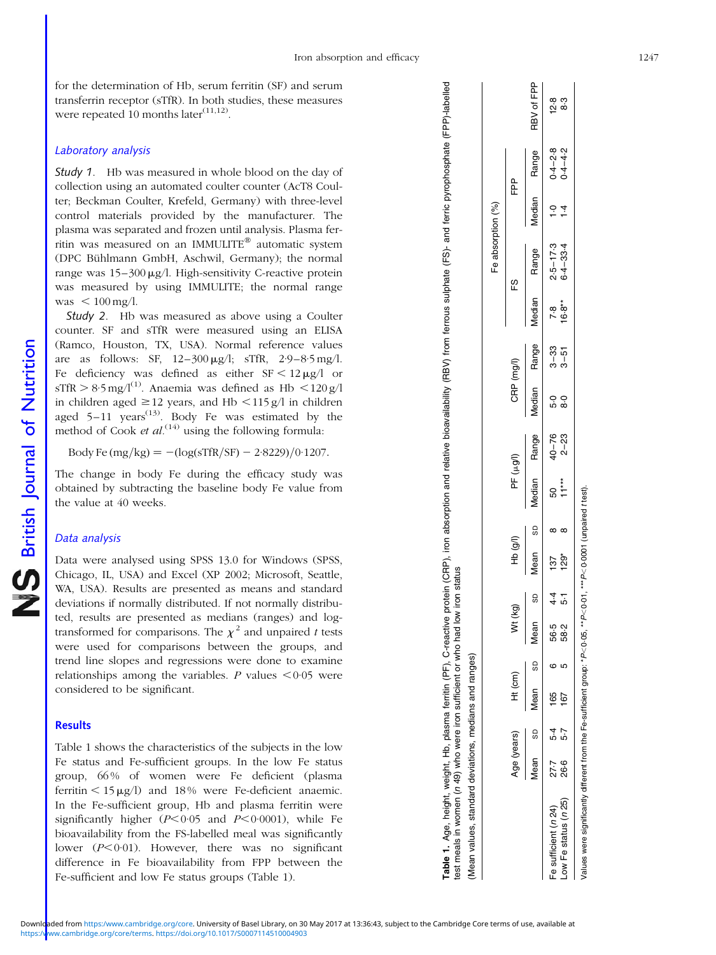for the determination of Hb, serum ferritin (SF) and serum transferrin receptor (sTfR). In both studies, these measures were repeated 10 months later $(11,12)$ .

## Laboratory analysis

**Study 1.** Hb was measured in whole blood on the day of collection using an automated coulter counter (AcT8 Coulter; Beckman Coulter, Krefeld, Germany) with three-level control materials provided by the manufacturer. The plasma was separated and frozen until analysis. Plasma ferritin was measured on an IMMULITE<sup>®</sup> automatic system (DPC Bühlmann GmbH, Aschwil, Germany); the normal range was  $15-300 \mu g/l$ . High-sensitivity C-reactive protein was measured by using IMMULITE; the normal range was  $< 100$  mg/l.

Study 2. Hb was measured as above using a Coulter counter. SF and sTfR were measured using an ELISA (Ramco, Houston, TX, USA). Normal reference values are as follows: SF,  $12-300 \mu g/l$ ; sTfR,  $2.9-8.5 \text{ mg/l}$ . Fe deficiency was defined as either  $SF < 12 \mu g/l$  or  $sTfR > 8.5$  mg/l<sup>(1)</sup>. Anaemia was defined as Hb  $\lt 120$  g/l in children aged  $\geq$  12 years, and Hb < 115 g/l in children aged  $5-11$  years<sup> $(13)$ </sup>. Body Fe was estimated by the method of Cook *et al*.<sup>(14)</sup> using the following formula:

Body Fe  $(mg/kg) = -(\log(sTfR/SF) - 2.8229)/0.1207$ .

The change in body Fe during the efficacy study was obtained by subtracting the baseline body Fe value from the value at 40 weeks.

## Data analysis

Data were analysed using SPSS 13.0 for Windows (SPSS, Chicago, IL, USA) and Excel (XP 2002; Microsoft, Seattle, WA, USA). Results are presented as means and standard deviations if normally distributed. If not normally distributed, results are presented as medians (ranges) and logtransformed for comparisons. The  $\chi^2$  and unpaired t tests were used for comparisons between the groups, and trend line slopes and regressions were done to examine relationships among the variables. P values  $<0.05$  were considered to be significant.

#### **Results**

Table 1 shows the characteristics of the subjects in the low Fe status and Fe-sufficient groups. In the low Fe status group, 66 % of women were Fe deficient (plasma ferritin  $\leq 15 \mu g/l$ ) and 18% were Fe-deficient anaemic. In the Fe-sufficient group, Hb and plasma ferritin were significantly higher  $(P<0.05$  and  $P<0.0001$ ), while Fe bioavailability from the FS-labelled meal was significantly lower  $(P<0.01)$ . However, there was no significant difference in Fe bioavailability from FPP between the Fe-sufficient and low Fe status groups (Table 1).

| test meals in women (n 49) who were iron sufficient or who had low<br>Mean values, standard deviations, medians and ranges) |             |          |                |   |         | iron status |          |                   |           |                           |          |            |                          |                              |            |
|-----------------------------------------------------------------------------------------------------------------------------|-------------|----------|----------------|---|---------|-------------|----------|-------------------|-----------|---------------------------|----------|------------|--------------------------|------------------------------|------------|
|                                                                                                                             |             |          |                |   |         |             |          |                   |           |                           |          |            | Fe absorption (%)        |                              |            |
|                                                                                                                             | Age (years) |          | Ht (cm)        |   | Wt (kg) |             | HD (g/l) | PF (µg/l)         |           | CRP (mg/l)                |          |            | ES<br>F                  | բ<br>ա                       |            |
|                                                                                                                             | Vlean sp    |          | Mean<br>SD     |   | Mean    | 60          | Mean sp  |                   |           | Median Range Median Range |          |            | Median Range             | Median Range                 | RBV of FPP |
| Fe sufficient (n 24)                                                                                                        |             |          | 27.7 5.4 165 6 |   | 56.5    |             | 4.4 137  | 50                | $40 - 76$ | 5.0                       | $3 - 33$ |            |                          |                              | 12.8       |
| Low Fe status (n 25)                                                                                                        |             | 26-6 5-7 | 167            | Ю | 58.2    | .<br>ა      | $129*$   | $1 + \frac{1}{2}$ | $2 - 23$  | $\frac{6}{6}$             | $3 - 51$ | $78\n6.8*$ | $2.5 - 17.3$<br>6.4-33.4 | $1.0$ 0.4-2.8<br>1.4 0.4-4.2 | 8.3        |

Table 1. Age, height, weight, Hb, plasma ferritin (PF), C-reactive protein (CRP), iron absorption and relative bioavailability (RBV) from ferrous sulphate (FS)- and ferric pyrophosphate (FPP)-labelled

rable 1. Age, height, weight, Hb, plasma ferritin (PF), C-reactive protein (CRP), iron absorption and relative bioavailability (RBV) from ferrous sulphate (FS)- and ferric pyrophosphate (FPP)-labelled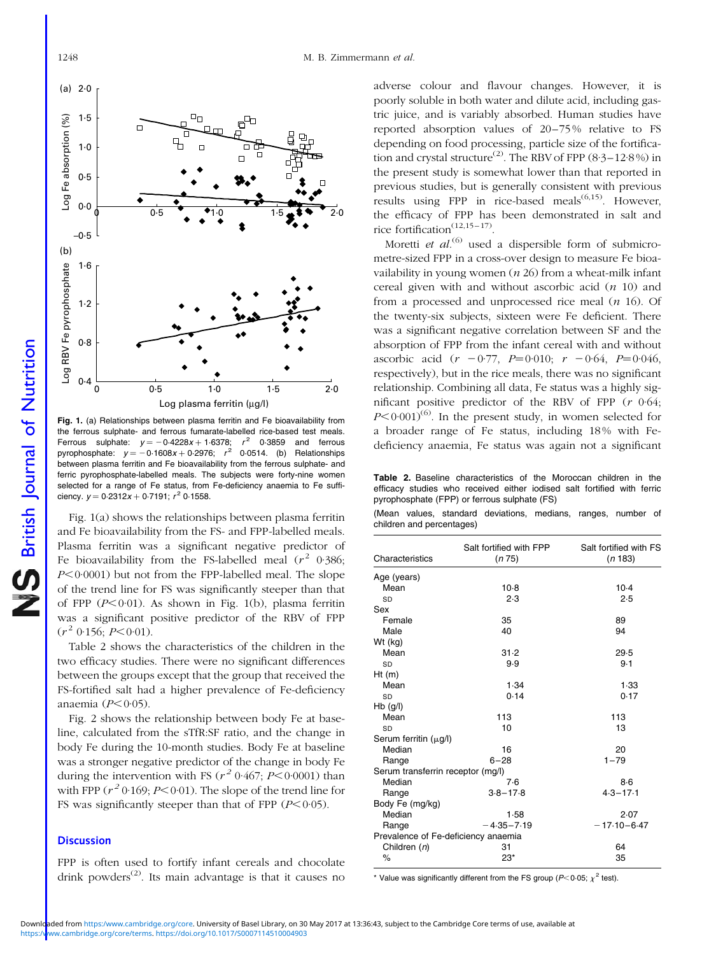British Journal of Nutrition

NS British Journal of Nutrition



Fig. 1. (a) Relationships between plasma ferritin and Fe bioavailability from the ferrous sulphate- and ferrous fumarate-labelled rice-based test meals. Ferrous sulphate:  $y = -0.4228x + 1.6378$ ;  $r^2$  0.3859 and ferrous pyrophosphate:  $y = -0.1608x + 0.2976$ ;  $r^2$  0.0514. (b) Relationships between plasma ferritin and Fe bioavailability from the ferrous sulphate- and ferric pyrophosphate-labelled meals. The subjects were forty-nine women selected for a range of Fe status, from Fe-deficiency anaemia to Fe sufficiency.  $y = 0.2312x + 0.7191$ ;  $r^2$  0.1558.

Fig. 1(a) shows the relationships between plasma ferritin and Fe bioavailability from the FS- and FPP-labelled meals. Plasma ferritin was a significant negative predictor of Fe bioavailability from the FS-labelled meal  $(r^2 \ 0.386;$  $P<0.0001$ ) but not from the FPP-labelled meal. The slope of the trend line for FS was significantly steeper than that of FPP  $(P<0.01)$ . As shown in Fig. 1(b), plasma ferritin was a significant positive predictor of the RBV of FPP  $(r^2 \ 0.156; P < 0.01)$ .

Table 2 shows the characteristics of the children in the two efficacy studies. There were no significant differences between the groups except that the group that received the FS-fortified salt had a higher prevalence of Fe-deficiency anaemia  $(P<0.05)$ .

[Fig. 2](#page-5-0) shows the relationship between body Fe at baseline, calculated from the sTfR:SF ratio, and the change in body Fe during the 10-month studies. Body Fe at baseline was a stronger negative predictor of the change in body Fe during the intervention with FS ( $r^2$  0·467; P<0·0001) than with FPP  $(r^2 0.169; P < 0.01)$ . The slope of the trend line for FS was significantly steeper than that of FPP  $(P<0.05)$ .

## **Discussion**

FPP is often used to fortify infant cereals and chocolate drink powders<sup> $(2)$ </sup>. Its main advantage is that it causes no

adverse colour and flavour changes. However, it is poorly soluble in both water and dilute acid, including gastric juice, and is variably absorbed. Human studies have reported absorption values of 20–75 % relative to FS depending on food processing, particle size of the fortification and crystal structure<sup>(2)</sup>. The RBV of FPP (8·3–12·8%) in the present study is somewhat lower than that reported in previous studies, but is generally consistent with previous results using FPP in rice-based meals<sup> $(6,15)$ </sup>. However, the efficacy of FPP has been demonstrated in salt and rice fortification<sup> $(12,15-17)$ </sup>.

Moretti et  $al$ .<sup>(6)</sup> used a dispersible form of submicrometre-sized FPP in a cross-over design to measure Fe bioavailability in young women  $(n 26)$  from a wheat-milk infant cereal given with and without ascorbic acid  $(n 10)$  and from a processed and unprocessed rice meal  $(n \ 16)$ . Of the twenty-six subjects, sixteen were Fe deficient. There was a significant negative correlation between SF and the absorption of FPP from the infant cereal with and without ascorbic acid  $(r - 0.77, P=0.010; r - 0.64, P=0.046,$ respectively), but in the rice meals, there was no significant relationship. Combining all data, Fe status was a highly significant positive predictor of the RBV of FPP  $(r \ 0.64;$  $P \leq 0.001^{(6)}$ . In the present study, in women selected for a broader range of Fe status, including 18 % with Fedeficiency anaemia, Fe status was again not a significant

Table 2. Baseline characteristics of the Moroccan children in the efficacy studies who received either iodised salt fortified with ferric pyrophosphate (FPP) or ferrous sulphate (FS)

|  |                           | (Mean values, standard deviations, medians, ranges, number of |  |  |
|--|---------------------------|---------------------------------------------------------------|--|--|
|  | children and percentages) |                                                               |  |  |

| Characteristics                     | Salt fortified with FPP<br>(n 75) | Salt fortified with FS<br>(n 183) |
|-------------------------------------|-----------------------------------|-----------------------------------|
| Age (years)                         |                                   |                                   |
| Mean                                | $10-8$                            | $10-4$                            |
| SD                                  | 2.3                               | 2.5                               |
| Sex                                 |                                   |                                   |
| Female                              | 35                                | 89                                |
| Male                                | 40                                | 94                                |
| Wt (kg)                             |                                   |                                   |
| Mean                                | 31.2                              | 29.5                              |
| SD                                  | 9.9                               | 9.1                               |
| Ht(m)                               |                                   |                                   |
| Mean                                | 1.34                              | 1.33                              |
| SD                                  | 0.14                              | 0.17                              |
| $Hb$ (g/l)                          |                                   |                                   |
| Mean                                | 113                               | 113                               |
| SD                                  | 10                                | 13                                |
| Serum ferritin $(\mu g/l)$          |                                   |                                   |
| Median                              | 16                                | 20                                |
| Range                               | $6 - 28$                          | $1 - 79$                          |
| Serum transferrin receptor (mg/l)   |                                   |                                   |
| Median                              | 7.6                               | 8.6                               |
| Range                               | $3.8 - 17.8$                      | $4.3 - 17.1$                      |
| Body Fe (mg/kg)                     |                                   |                                   |
| Median                              | 1.58                              | 2.07                              |
| Range                               | $-4.35 - 7.19$                    | $-17.10 - 6.47$                   |
| Prevalence of Fe-deficiency anaemia |                                   |                                   |
| Children (n)                        | 31                                | 64                                |
| $\%$                                | $23*$                             | 35                                |
|                                     |                                   |                                   |

\* Value was significantly different from the FS group  $(P< 0.05$ ;  $v^2$  test).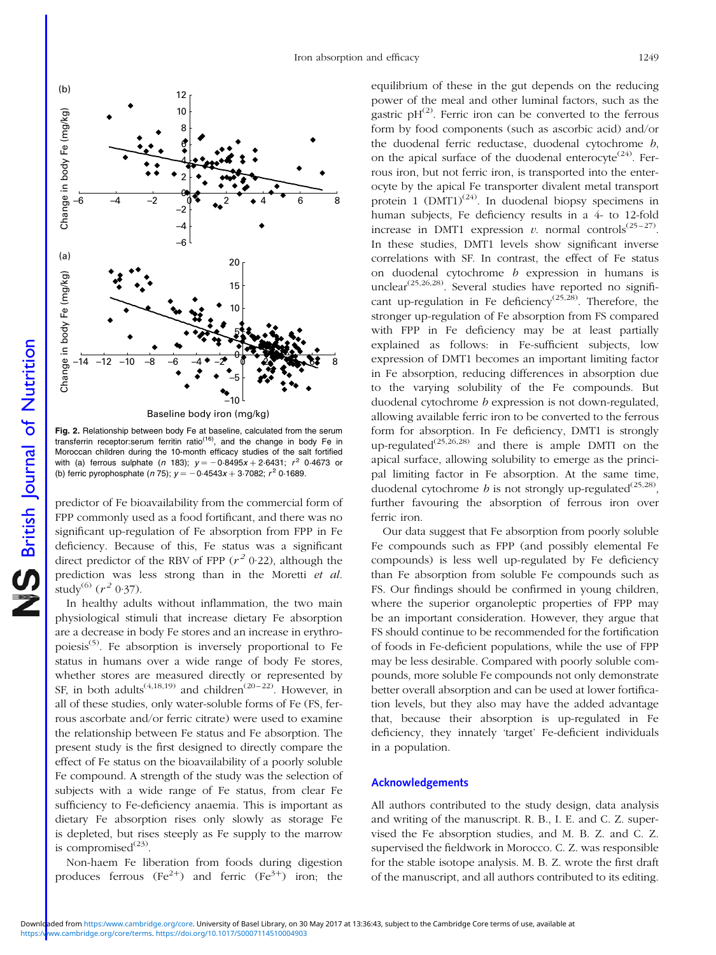<span id="page-5-0"></span>

Fig. 2. Relationship between body Fe at baseline, calculated from the serum transferrin receptor:serum ferritin ratio<sup> $(16)$ </sup>, and the change in body Fe in Moroccan children during the 10-month efficacy studies of the salt fortified with (a) ferrous sulphate (n 183);  $y = -0.8495x + 2.6431$ ;  $r^2$  0.4673 or (b) ferric pyrophosphate (n 75);  $y = -0.4543x + 3.7082$ ;  $r^2$  0.1689.

predictor of Fe bioavailability from the commercial form of FPP commonly used as a food fortificant, and there was no significant up-regulation of Fe absorption from FPP in Fe deficiency. Because of this, Fe status was a significant direct predictor of the RBV of FPP  $(r^2 0.22)$ , although the prediction was less strong than in the Moretti et al. study<sup>(6)</sup>  $(r^2 0.37)$ .

In healthy adults without inflammation, the two main physiological stimuli that increase dietary Fe absorption are a decrease in body Fe stores and an increase in erythropoiesis<sup>(5)</sup>. Fe absorption is inversely proportional to Fe status in humans over a wide range of body Fe stores, whether stores are measured directly or represented by SF, in both adults<sup> $(4,18,19)$ </sup> and children<sup> $(20-22)$ </sup>. However, in all of these studies, only water-soluble forms of Fe (FS, ferrous ascorbate and/or ferric citrate) were used to examine the relationship between Fe status and Fe absorption. The present study is the first designed to directly compare the effect of Fe status on the bioavailability of a poorly soluble Fe compound. A strength of the study was the selection of subjects with a wide range of Fe status, from clear Fe sufficiency to Fe-deficiency anaemia. This is important as dietary Fe absorption rises only slowly as storage Fe is depleted, but rises steeply as Fe supply to the marrow is compromised $^{(23)}$ .

Non-haem Fe liberation from foods during digestion produces ferrous  $(Fe^{2+})$  and ferric  $(Fe^{3+})$  iron; the equilibrium of these in the gut depends on the reducing power of the meal and other luminal factors, such as the gastric  $pH^{(2)}$ . Ferric iron can be converted to the ferrous form by food components (such as ascorbic acid) and/or the duodenal ferric reductase, duodenal cytochrome b, on the apical surface of the duodenal enterocyte<sup> $(24)$ </sup>. Ferrous iron, but not ferric iron, is transported into the enterocyte by the apical Fe transporter divalent metal transport protein 1  $(DMT1)^{(24)}$ . In duodenal biopsy specimens in human subjects, Fe deficiency results in a 4- to 12-fold increase in DMT1 expression v. normal controls<sup>(25–27)</sup>. In these studies, DMT1 levels show significant inverse correlations with SF. In contrast, the effect of Fe status on duodenal cytochrome b expression in humans is unclear<sup>(25,26,28)</sup>. Several studies have reported no significant up-regulation in Fe deficiency<sup>(25,28)</sup>. Therefore, the stronger up-regulation of Fe absorption from FS compared with FPP in Fe deficiency may be at least partially explained as follows: in Fe-sufficient subjects, low expression of DMT1 becomes an important limiting factor in Fe absorption, reducing differences in absorption due to the varying solubility of the Fe compounds. But duodenal cytochrome b expression is not down-regulated, allowing available ferric iron to be converted to the ferrous form for absorption. In Fe deficiency, DMT1 is strongly up-regulated<sup> $(25,26,28)$ </sup> and there is ample DMTI on the apical surface, allowing solubility to emerge as the principal limiting factor in Fe absorption. At the same time, duodenal cytochrome *b* is not strongly up-regulated<sup>(25,28)</sup>, further favouring the absorption of ferrous iron over ferric iron.

Our data suggest that Fe absorption from poorly soluble Fe compounds such as FPP (and possibly elemental Fe compounds) is less well up-regulated by Fe deficiency than Fe absorption from soluble Fe compounds such as FS. Our findings should be confirmed in young children, where the superior organoleptic properties of FPP may be an important consideration. However, they argue that FS should continue to be recommended for the fortification of foods in Fe-deficient populations, while the use of FPP may be less desirable. Compared with poorly soluble compounds, more soluble Fe compounds not only demonstrate better overall absorption and can be used at lower fortification levels, but they also may have the added advantage that, because their absorption is up-regulated in Fe deficiency, they innately 'target' Fe-deficient individuals in a population.

#### Acknowledgements

All authors contributed to the study design, data analysis and writing of the manuscript. R. B., I. E. and C. Z. supervised the Fe absorption studies, and M. B. Z. and C. Z. supervised the fieldwork in Morocco. C. Z. was responsible for the stable isotope analysis. M. B. Z. wrote the first draft of the manuscript, and all authors contributed to its editing.